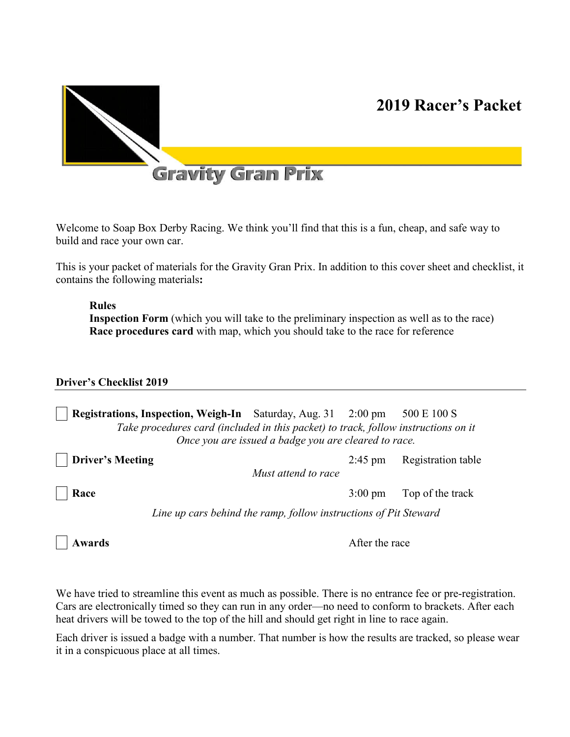



# **Gravity Gran Prix**

Welcome to Soap Box Derby Racing. We think you'll find that this is a fun, cheap, and safe way to build and race your own car.

This is your packet of materials for the Gravity Gran Prix. In addition to this cover sheet and checklist, it contains the following materials**:** 

#### **Rules**

**Inspection Form** (which you will take to the preliminary inspection as well as to the race) **Race procedures card** with map, which you should take to the race for reference

#### **Driver's Checklist 2019**

**Registrations, Inspection, Weigh-In** Saturday, Aug. 31 2:00 pm 500 E 100 S *Take procedures card (included in this packet) to track, follow instructions on it Once you are issued a badge you are cleared to race.*

**Driver's Meeting** 2:45 pm Registration table

*Must attend to race*

**Race** 3:00 pm Top of the track

*Line up cars behind the ramp, follow instructions of Pit Steward*

**Awards** After the race

We have tried to streamline this event as much as possible. There is no entrance fee or pre-registration. Cars are electronically timed so they can run in any order—no need to conform to brackets. After each heat drivers will be towed to the top of the hill and should get right in line to race again.

Each driver is issued a badge with a number. That number is how the results are tracked, so please wear it in a conspicuous place at all times.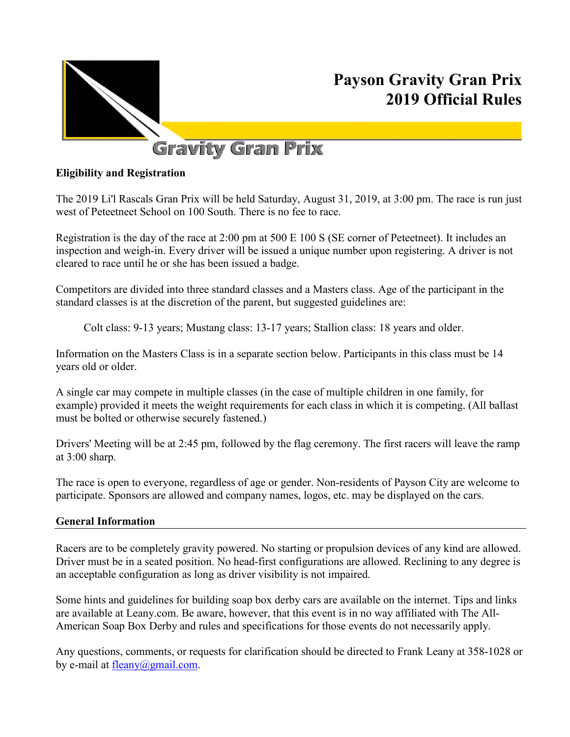

# **Payson Gravity Gran Prix 2019 Official Rules**

# **Gravity Gran Prix**

# **Eligibility and Registration**

The 2019 Li'l Rascals Gran Prix will be held Saturday, August 31, 2019, at 3:00 pm. The race is run just west of Peteetneet School on 100 South. There is no fee to race.

Registration is the day of the race at 2:00 pm at 500 E 100 S (SE corner of Peteetneet). It includes an inspection and weigh-in. Every driver will be issued a unique number upon registering. A driver is not cleared to race until he or she has been issued a badge.

Competitors are divided into three standard classes and a Masters class. Age of the participant in the standard classes is at the discretion of the parent, but suggested guidelines are:

Colt class: 9-13 years; Mustang class: 13-17 years; Stallion class: 18 years and older.

Information on the Masters Class is in a separate section below. Participants in this class must be 14 years old or older.

A single car may compete in multiple classes (in the case of multiple children in one family, for example) provided it meets the weight requirements for each class in which it is competing. (All ballast must be bolted or otherwise securely fastened.)

Drivers' Meeting will be at 2:45 pm, followed by the flag ceremony. The first racers will leave the ramp at 3:00 sharp.

The race is open to everyone, regardless of age or gender. Non-residents of Payson City are welcome to participate. Sponsors are allowed and company names, logos, etc. may be displayed on the cars.

## **General Information**

Racers are to be completely gravity powered. No starting or propulsion devices of any kind are allowed. Driver must be in a seated position. No head-first configurations are allowed. Reclining to any degree is an acceptable configuration as long as driver visibility is not impaired.

Some hints and guidelines for building soap box derby cars are available on the internet. Tips and links are available at Leany.com. Be aware, however, that this event is in no way affiliated with The All-American Soap Box Derby and rules and specifications for those events do not necessarily apply.

Any questions, comments, or requests for clarification should be directed to Frank Leany at 358-1028 or by e-mail at fleany@gmail.com.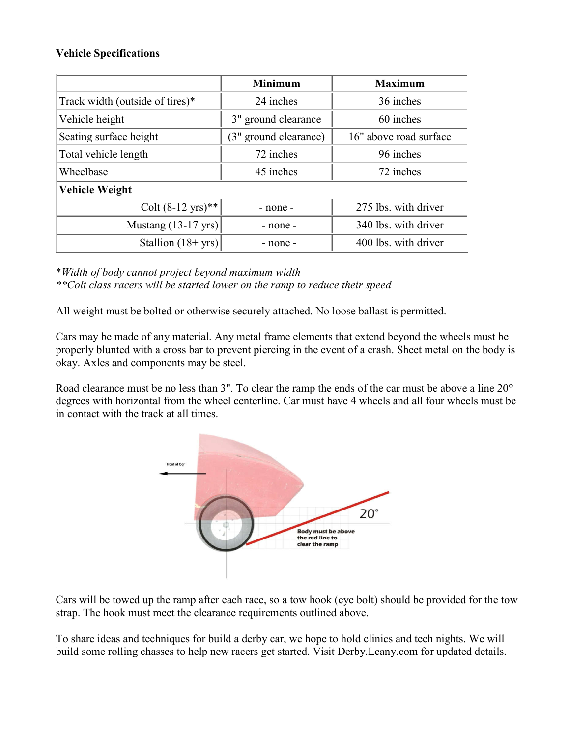#### **Vehicle Specifications**

|                                 | <b>Minimum</b>        | <b>Maximum</b>         |
|---------------------------------|-----------------------|------------------------|
| Track width (outside of tires)* | 24 inches             | 36 inches              |
| Vehicle height                  | 3" ground clearance   | 60 inches              |
| Seating surface height          | (3" ground clearance) | 16" above road surface |
| Total vehicle length            | 72 inches             | 96 inches              |
| Wheelbase                       | 45 inches             | 72 inches              |
| <b>Vehicle Weight</b>           |                       |                        |
| Colt $(8-12 \text{ yrs})$ **    | - none -              | 275 lbs. with driver   |
| Mustang $(13-17 \text{ yrs})$   | - none -              | 340 lbs. with driver   |
| Stallion $(18 + yrs)$           | - none -              | 400 lbs. with driver   |

\**Width of body cannot project beyond maximum width \*\*Colt class racers will be started lower on the ramp to reduce their speed*

All weight must be bolted or otherwise securely attached. No loose ballast is permitted.

Cars may be made of any material. Any metal frame elements that extend beyond the wheels must be properly blunted with a cross bar to prevent piercing in the event of a crash. Sheet metal on the body is okay. Axles and components may be steel.

Road clearance must be no less than 3". To clear the ramp the ends of the car must be above a line 20° degrees with horizontal from the wheel centerline. Car must have 4 wheels and all four wheels must be in contact with the track at all times.



Cars will be towed up the ramp after each race, so a tow hook (eye bolt) should be provided for the tow strap. The hook must meet the clearance requirements outlined above.

To share ideas and techniques for build a derby car, we hope to hold clinics and tech nights. We will build some rolling chasses to help new racers get started. Visit Derby.Leany.com for updated details.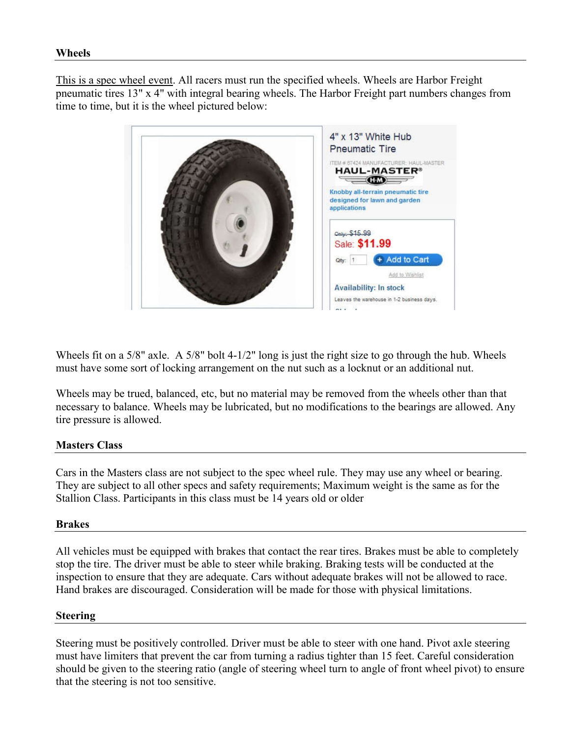This is a spec wheel event. All racers must run the specified wheels. Wheels are Harbor Freight pneumatic tires 13" x 4" with integral bearing wheels. The Harbor Freight part numbers changes from time to time, but it is the wheel pictured below:



Wheels fit on a 5/8" axle. A 5/8" bolt 4-1/2" long is just the right size to go through the hub. Wheels must have some sort of locking arrangement on the nut such as a locknut or an additional nut.

Wheels may be trued, balanced, etc, but no material may be removed from the wheels other than that necessary to balance. Wheels may be lubricated, but no modifications to the bearings are allowed. Any tire pressure is allowed.

## **Masters Class**

Cars in the Masters class are not subject to the spec wheel rule. They may use any wheel or bearing. They are subject to all other specs and safety requirements; Maximum weight is the same as for the Stallion Class. Participants in this class must be 14 years old or older

## **Brakes**

All vehicles must be equipped with brakes that contact the rear tires. Brakes must be able to completely stop the tire. The driver must be able to steer while braking. Braking tests will be conducted at the inspection to ensure that they are adequate. Cars without adequate brakes will not be allowed to race. Hand brakes are discouraged. Consideration will be made for those with physical limitations.

#### **Steering**

Steering must be positively controlled. Driver must be able to steer with one hand. Pivot axle steering must have limiters that prevent the car from turning a radius tighter than 15 feet. Careful consideration should be given to the steering ratio (angle of steering wheel turn to angle of front wheel pivot) to ensure that the steering is not too sensitive.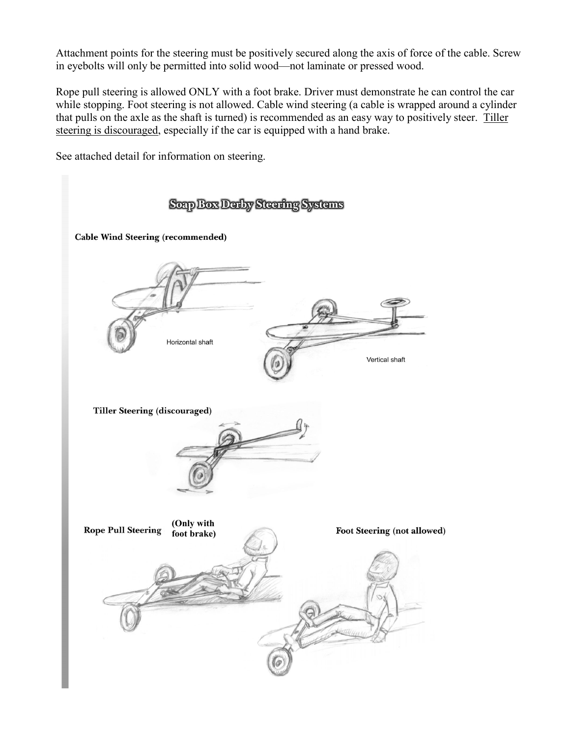Attachment points for the steering must be positively secured along the axis of force of the cable. Screw in eyebolts will only be permitted into solid wood—not laminate or pressed wood.

Rope pull steering is allowed ONLY with a foot brake. Driver must demonstrate he can control the car while stopping. Foot steering is not allowed. Cable wind steering (a cable is wrapped around a cylinder that pulls on the axle as the shaft is turned) is recommended as an easy way to positively steer. Tiller steering is discouraged, especially if the car is equipped with a hand brake.

See attached detail for information on steering.

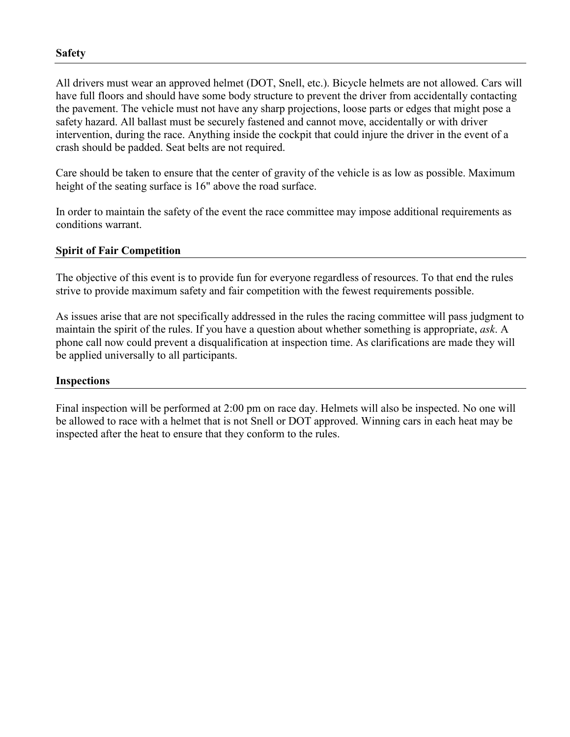All drivers must wear an approved helmet (DOT, Snell, etc.). Bicycle helmets are not allowed. Cars will have full floors and should have some body structure to prevent the driver from accidentally contacting the pavement. The vehicle must not have any sharp projections, loose parts or edges that might pose a safety hazard. All ballast must be securely fastened and cannot move, accidentally or with driver intervention, during the race. Anything inside the cockpit that could injure the driver in the event of a crash should be padded. Seat belts are not required.

Care should be taken to ensure that the center of gravity of the vehicle is as low as possible. Maximum height of the seating surface is 16" above the road surface.

In order to maintain the safety of the event the race committee may impose additional requirements as conditions warrant.

#### **Spirit of Fair Competition**

The objective of this event is to provide fun for everyone regardless of resources. To that end the rules strive to provide maximum safety and fair competition with the fewest requirements possible.

As issues arise that are not specifically addressed in the rules the racing committee will pass judgment to maintain the spirit of the rules. If you have a question about whether something is appropriate, *ask*. A phone call now could prevent a disqualification at inspection time. As clarifications are made they will be applied universally to all participants.

#### **Inspections**

Final inspection will be performed at 2:00 pm on race day. Helmets will also be inspected. No one will be allowed to race with a helmet that is not Snell or DOT approved. Winning cars in each heat may be inspected after the heat to ensure that they conform to the rules.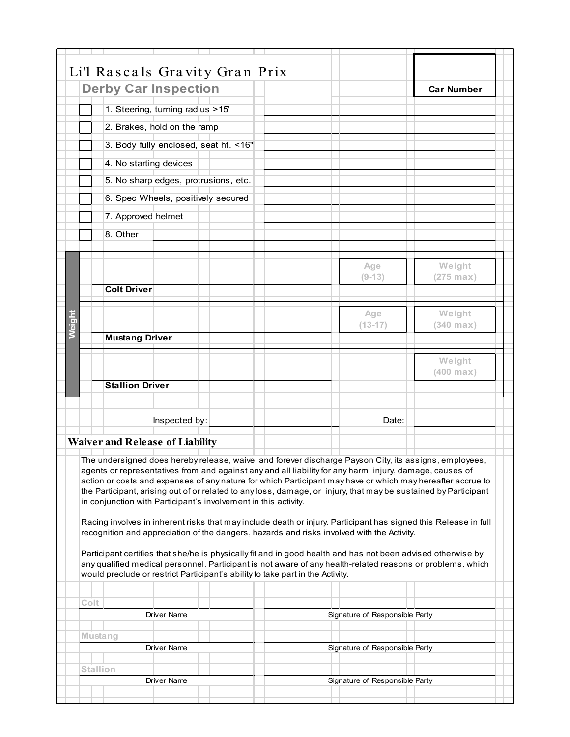|               | Li'l Rascals Gravity Gran Prix<br><b>Derby Car Inspection</b>                                                                                                                                                                                                                                                                                                                                                                                                                                                                                                                                                                                                                                                                                                                                                                                                                                                                                                         |                                | <b>Car Number</b>     |
|---------------|-----------------------------------------------------------------------------------------------------------------------------------------------------------------------------------------------------------------------------------------------------------------------------------------------------------------------------------------------------------------------------------------------------------------------------------------------------------------------------------------------------------------------------------------------------------------------------------------------------------------------------------------------------------------------------------------------------------------------------------------------------------------------------------------------------------------------------------------------------------------------------------------------------------------------------------------------------------------------|--------------------------------|-----------------------|
|               | 1. Steering, turning radius >15'                                                                                                                                                                                                                                                                                                                                                                                                                                                                                                                                                                                                                                                                                                                                                                                                                                                                                                                                      |                                |                       |
|               | 2. Brakes, hold on the ramp                                                                                                                                                                                                                                                                                                                                                                                                                                                                                                                                                                                                                                                                                                                                                                                                                                                                                                                                           |                                |                       |
|               | 3. Body fully enclosed, seat ht. < 16"                                                                                                                                                                                                                                                                                                                                                                                                                                                                                                                                                                                                                                                                                                                                                                                                                                                                                                                                |                                |                       |
|               |                                                                                                                                                                                                                                                                                                                                                                                                                                                                                                                                                                                                                                                                                                                                                                                                                                                                                                                                                                       |                                |                       |
|               | 4. No starting devices                                                                                                                                                                                                                                                                                                                                                                                                                                                                                                                                                                                                                                                                                                                                                                                                                                                                                                                                                |                                |                       |
|               | 5. No sharp edges, protrusions, etc.                                                                                                                                                                                                                                                                                                                                                                                                                                                                                                                                                                                                                                                                                                                                                                                                                                                                                                                                  |                                |                       |
|               | 6. Spec Wheels, positively secured                                                                                                                                                                                                                                                                                                                                                                                                                                                                                                                                                                                                                                                                                                                                                                                                                                                                                                                                    |                                |                       |
|               | 7. Approved helmet                                                                                                                                                                                                                                                                                                                                                                                                                                                                                                                                                                                                                                                                                                                                                                                                                                                                                                                                                    |                                |                       |
|               | 8. Other                                                                                                                                                                                                                                                                                                                                                                                                                                                                                                                                                                                                                                                                                                                                                                                                                                                                                                                                                              |                                |                       |
|               |                                                                                                                                                                                                                                                                                                                                                                                                                                                                                                                                                                                                                                                                                                                                                                                                                                                                                                                                                                       |                                | Weight                |
|               |                                                                                                                                                                                                                                                                                                                                                                                                                                                                                                                                                                                                                                                                                                                                                                                                                                                                                                                                                                       | Age<br>$(9-13)$                | $(275 \text{ max})$   |
|               | <b>Colt Driver</b>                                                                                                                                                                                                                                                                                                                                                                                                                                                                                                                                                                                                                                                                                                                                                                                                                                                                                                                                                    |                                |                       |
|               |                                                                                                                                                                                                                                                                                                                                                                                                                                                                                                                                                                                                                                                                                                                                                                                                                                                                                                                                                                       | Age                            | Weight                |
| <b>Meight</b> |                                                                                                                                                                                                                                                                                                                                                                                                                                                                                                                                                                                                                                                                                                                                                                                                                                                                                                                                                                       | $(13-17)$                      | $(340$ max)           |
|               | <b>Mustang Driver</b>                                                                                                                                                                                                                                                                                                                                                                                                                                                                                                                                                                                                                                                                                                                                                                                                                                                                                                                                                 |                                |                       |
|               |                                                                                                                                                                                                                                                                                                                                                                                                                                                                                                                                                                                                                                                                                                                                                                                                                                                                                                                                                                       |                                | Weight<br>$(400$ max) |
|               | <b>Stallion Driver</b>                                                                                                                                                                                                                                                                                                                                                                                                                                                                                                                                                                                                                                                                                                                                                                                                                                                                                                                                                |                                |                       |
|               | Inspected by:                                                                                                                                                                                                                                                                                                                                                                                                                                                                                                                                                                                                                                                                                                                                                                                                                                                                                                                                                         | Date:                          |                       |
|               | <b>Waiver and Release of Liability</b>                                                                                                                                                                                                                                                                                                                                                                                                                                                                                                                                                                                                                                                                                                                                                                                                                                                                                                                                |                                |                       |
|               |                                                                                                                                                                                                                                                                                                                                                                                                                                                                                                                                                                                                                                                                                                                                                                                                                                                                                                                                                                       |                                |                       |
|               | The undersigned does hereby release, waive, and forever discharge Payson City, its assigns, employees,<br>agents or representatives from and against any and all liability for any harm, injury, damage, causes of<br>action or costs and expenses of any nature for which Participant may have or which may hereafter accrue to<br>the Participant, arising out of or related to any loss, damage, or injury, that may be sustained by Participant<br>in conjunction with Participant's involvement in this activity.<br>Racing involves in inherent risks that may include death or injury. Participant has signed this Release in full<br>recognition and appreciation of the dangers, hazards and risks involved with the Activity.<br>Participant certifies that she/he is physically fit and in good health and has not been advised otherwise by<br>any qualified medical personnel. Participant is not aware of any health-related reasons or problems, which |                                |                       |
|               | would preclude or restrict Participant's ability to take part in the Activity.                                                                                                                                                                                                                                                                                                                                                                                                                                                                                                                                                                                                                                                                                                                                                                                                                                                                                        |                                |                       |
| Colt          |                                                                                                                                                                                                                                                                                                                                                                                                                                                                                                                                                                                                                                                                                                                                                                                                                                                                                                                                                                       |                                |                       |
|               | <b>Driver Name</b>                                                                                                                                                                                                                                                                                                                                                                                                                                                                                                                                                                                                                                                                                                                                                                                                                                                                                                                                                    | Signature of Responsible Party |                       |
|               | Mustang                                                                                                                                                                                                                                                                                                                                                                                                                                                                                                                                                                                                                                                                                                                                                                                                                                                                                                                                                               |                                |                       |
|               | Driver Name<br><b>Stallion</b>                                                                                                                                                                                                                                                                                                                                                                                                                                                                                                                                                                                                                                                                                                                                                                                                                                                                                                                                        | Signature of Responsible Party |                       |